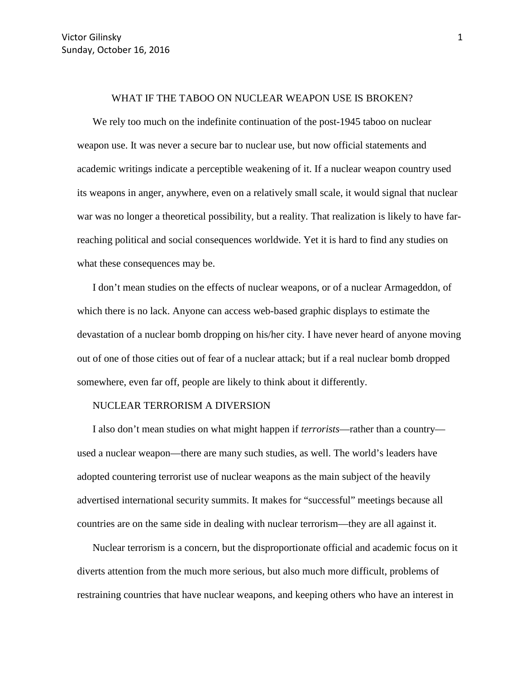## WHAT IF THE TABOO ON NUCLEAR WEAPON USE IS BROKEN?

We rely too much on the indefinite continuation of the post-1945 taboo on nuclear weapon use. It was never a secure bar to nuclear use, but now official statements and academic writings indicate a perceptible weakening of it. If a nuclear weapon country used its weapons in anger, anywhere, even on a relatively small scale, it would signal that nuclear war was no longer a theoretical possibility, but a reality. That realization is likely to have farreaching political and social consequences worldwide. Yet it is hard to find any studies on what these consequences may be.

I don't mean studies on the effects of nuclear weapons, or of a nuclear Armageddon, of which there is no lack. Anyone can access web-based graphic displays to estimate the devastation of a nuclear bomb dropping on his/her city. I have never heard of anyone moving out of one of those cities out of fear of a nuclear attack; but if a real nuclear bomb dropped somewhere, even far off, people are likely to think about it differently.

## NUCLEAR TERRORISM A DIVERSION

I also don't mean studies on what might happen if *terrorists*—rather than a country used a nuclear weapon—there are many such studies, as well. The world's leaders have adopted countering terrorist use of nuclear weapons as the main subject of the heavily advertised international security summits. It makes for "successful" meetings because all countries are on the same side in dealing with nuclear terrorism—they are all against it.

Nuclear terrorism is a concern, but the disproportionate official and academic focus on it diverts attention from the much more serious, but also much more difficult, problems of restraining countries that have nuclear weapons, and keeping others who have an interest in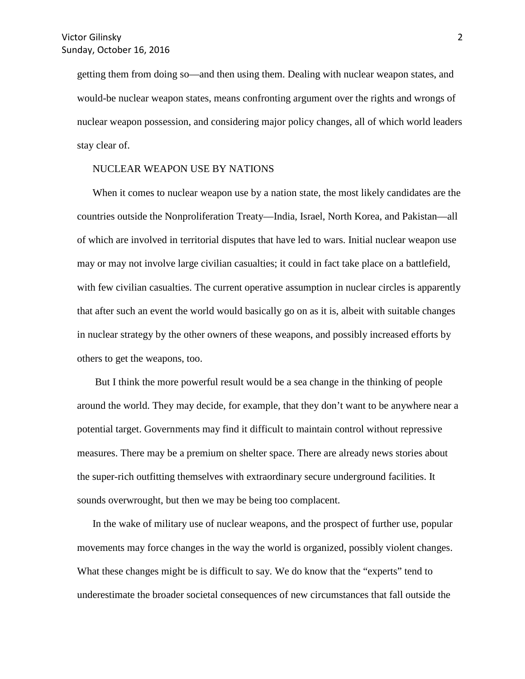getting them from doing so—and then using them. Dealing with nuclear weapon states, and would-be nuclear weapon states, means confronting argument over the rights and wrongs of nuclear weapon possession, and considering major policy changes, all of which world leaders stay clear of.

## NUCLEAR WEAPON USE BY NATIONS

When it comes to nuclear weapon use by a nation state, the most likely candidates are the countries outside the Nonproliferation Treaty—India, Israel, North Korea, and Pakistan—all of which are involved in territorial disputes that have led to wars. Initial nuclear weapon use may or may not involve large civilian casualties; it could in fact take place on a battlefield, with few civilian casualties. The current operative assumption in nuclear circles is apparently that after such an event the world would basically go on as it is, albeit with suitable changes in nuclear strategy by the other owners of these weapons, and possibly increased efforts by others to get the weapons, too.

But I think the more powerful result would be a sea change in the thinking of people around the world. They may decide, for example, that they don't want to be anywhere near a potential target. Governments may find it difficult to maintain control without repressive measures. There may be a premium on shelter space. There are already news stories about the super-rich outfitting themselves with extraordinary secure underground facilities. It sounds overwrought, but then we may be being too complacent.

In the wake of military use of nuclear weapons, and the prospect of further use, popular movements may force changes in the way the world is organized, possibly violent changes. What these changes might be is difficult to say. We do know that the "experts" tend to underestimate the broader societal consequences of new circumstances that fall outside the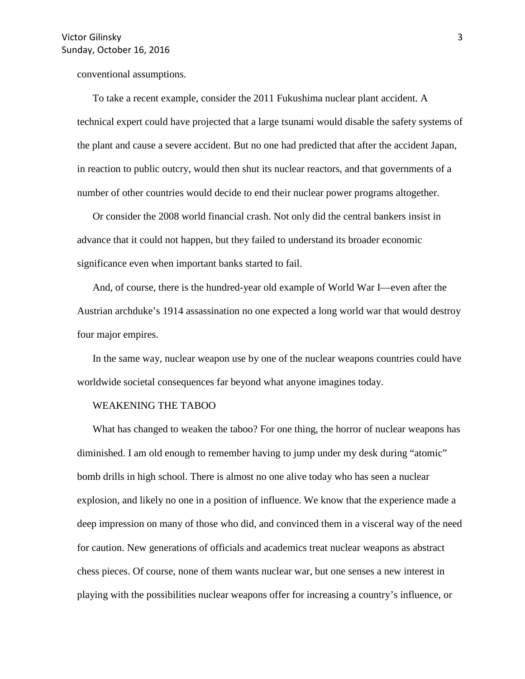conventional assumptions.

To take a recent example, consider the 2011 Fukushima nuclear plant accident. A technical expert could have projected that a large tsunami would disable the safety systems of the plant and cause a severe accident. But no one had predicted that after the accident Japan, in reaction to public outcry, would then shut its nuclear reactors, and that governments of a number of other countries would decide to end their nuclear power programs altogether.

Or consider the 2008 world financial crash. Not only did the central bankers insist in advance that it could not happen, but they failed to understand its broader economic significance even when important banks started to fail.

And, of course, there is the hundred-year old example of World War I—even after the Austrian archduke's 1914 assassination no one expected a long world war that would destroy four major empires.

In the same way, nuclear weapon use by one of the nuclear weapons countries could have worldwide societal consequences far beyond what anyone imagines today.

## WEAKENING THE TABOO

What has changed to weaken the taboo? For one thing, the horror of nuclear weapons has diminished. I am old enough to remember having to jump under my desk during "atomic" bomb drills in high school. There is almost no one alive today who has seen a nuclear explosion, and likely no one in a position of influence. We know that the experience made a deep impression on many of those who did, and convinced them in a visceral way of the need for caution. New generations of officials and academics treat nuclear weapons as abstract chess pieces. Of course, none of them wants nuclear war, but one senses a new interest in playing with the possibilities nuclear weapons offer for increasing a country's influence, or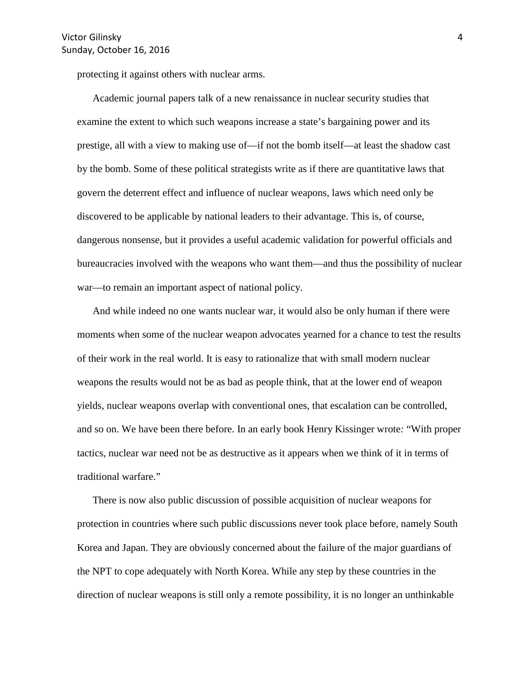protecting it against others with nuclear arms.

Academic journal papers talk of a new renaissance in nuclear security studies that examine the extent to which such weapons increase a state's bargaining power and its prestige, all with a view to making use of—if not the bomb itself—at least the shadow cast by the bomb. Some of these political strategists write as if there are quantitative laws that govern the deterrent effect and influence of nuclear weapons, laws which need only be discovered to be applicable by national leaders to their advantage. This is, of course, dangerous nonsense, but it provides a useful academic validation for powerful officials and bureaucracies involved with the weapons who want them—and thus the possibility of nuclear war—to remain an important aspect of national policy.

And while indeed no one wants nuclear war, it would also be only human if there were moments when some of the nuclear weapon advocates yearned for a chance to test the results of their work in the real world. It is easy to rationalize that with small modern nuclear weapons the results would not be as bad as people think, that at the lower end of weapon yields, nuclear weapons overlap with conventional ones, that escalation can be controlled, and so on. We have been there before. In an early book Henry Kissinger wrote*:* "With proper tactics, nuclear war need not be as destructive as it appears when we think of it in terms of traditional warfare."

There is now also public discussion of possible acquisition of nuclear weapons for protection in countries where such public discussions never took place before, namely South Korea and Japan. They are obviously concerned about the failure of the major guardians of the NPT to cope adequately with North Korea. While any step by these countries in the direction of nuclear weapons is still only a remote possibility, it is no longer an unthinkable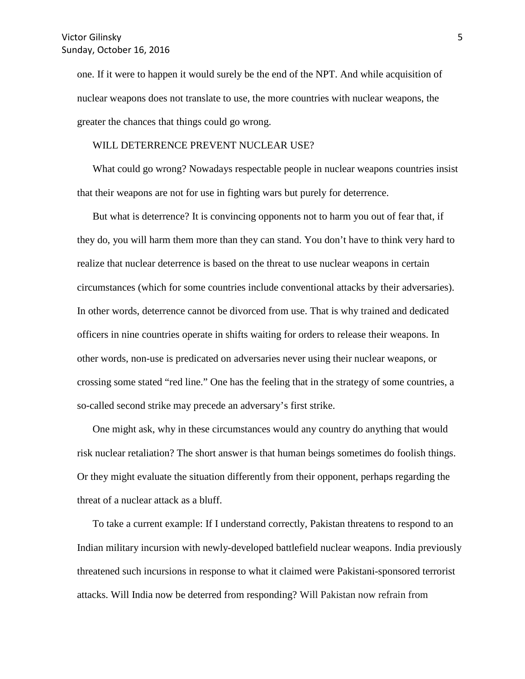one. If it were to happen it would surely be the end of the NPT. And while acquisition of nuclear weapons does not translate to use, the more countries with nuclear weapons, the greater the chances that things could go wrong.

#### WILL DETERRENCE PREVENT NUCLEAR USE?

What could go wrong? Nowadays respectable people in nuclear weapons countries insist that their weapons are not for use in fighting wars but purely for deterrence.

But what is deterrence? It is convincing opponents not to harm you out of fear that, if they do, you will harm them more than they can stand. You don't have to think very hard to realize that nuclear deterrence is based on the threat to use nuclear weapons in certain circumstances (which for some countries include conventional attacks by their adversaries). In other words, deterrence cannot be divorced from use. That is why trained and dedicated officers in nine countries operate in shifts waiting for orders to release their weapons. In other words, non-use is predicated on adversaries never using their nuclear weapons, or crossing some stated "red line." One has the feeling that in the strategy of some countries, a so-called second strike may precede an adversary's first strike.

One might ask, why in these circumstances would any country do anything that would risk nuclear retaliation? The short answer is that human beings sometimes do foolish things. Or they might evaluate the situation differently from their opponent, perhaps regarding the threat of a nuclear attack as a bluff.

To take a current example: If I understand correctly, Pakistan threatens to respond to an Indian military incursion with newly-developed battlefield nuclear weapons. India previously threatened such incursions in response to what it claimed were Pakistani-sponsored terrorist attacks. Will India now be deterred from responding? Will Pakistan now refrain from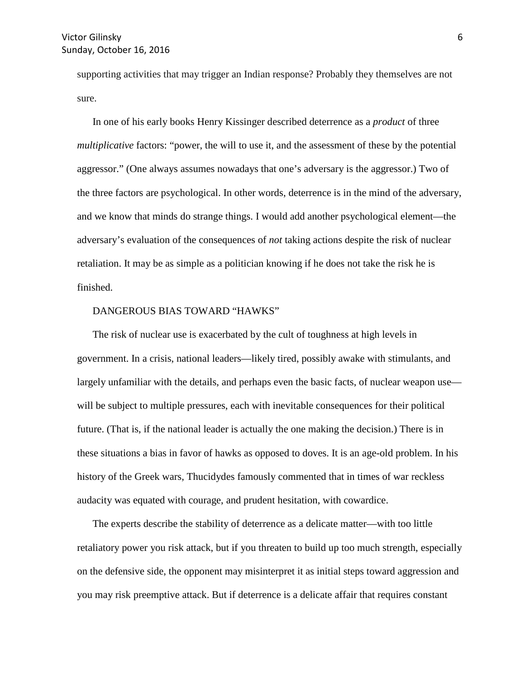supporting activities that may trigger an Indian response? Probably they themselves are not sure.

In one of his early books Henry Kissinger described deterrence as a *product* of three *multiplicative* factors: "power, the will to use it, and the assessment of these by the potential aggressor." (One always assumes nowadays that one's adversary is the aggressor.) Two of the three factors are psychological. In other words, deterrence is in the mind of the adversary, and we know that minds do strange things. I would add another psychological element—the adversary's evaluation of the consequences of *not* taking actions despite the risk of nuclear retaliation. It may be as simple as a politician knowing if he does not take the risk he is finished.

# DANGEROUS BIAS TOWARD "HAWKS"

The risk of nuclear use is exacerbated by the cult of toughness at high levels in government. In a crisis, national leaders—likely tired, possibly awake with stimulants, and largely unfamiliar with the details, and perhaps even the basic facts, of nuclear weapon use will be subject to multiple pressures, each with inevitable consequences for their political future. (That is, if the national leader is actually the one making the decision.) There is in these situations a bias in favor of hawks as opposed to doves. It is an age-old problem. In his history of the Greek wars, Thucidydes famously commented that in times of war reckless audacity was equated with courage, and prudent hesitation, with cowardice.

The experts describe the stability of deterrence as a delicate matter—with too little retaliatory power you risk attack, but if you threaten to build up too much strength, especially on the defensive side, the opponent may misinterpret it as initial steps toward aggression and you may risk preemptive attack. But if deterrence is a delicate affair that requires constant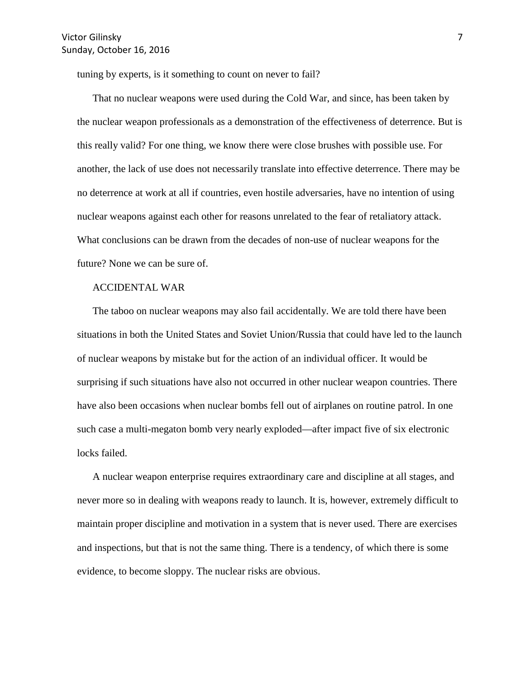tuning by experts, is it something to count on never to fail?

That no nuclear weapons were used during the Cold War, and since, has been taken by the nuclear weapon professionals as a demonstration of the effectiveness of deterrence. But is this really valid? For one thing, we know there were close brushes with possible use. For another, the lack of use does not necessarily translate into effective deterrence. There may be no deterrence at work at all if countries, even hostile adversaries, have no intention of using nuclear weapons against each other for reasons unrelated to the fear of retaliatory attack. What conclusions can be drawn from the decades of non-use of nuclear weapons for the future? None we can be sure of.

## ACCIDENTAL WAR

The taboo on nuclear weapons may also fail accidentally. We are told there have been situations in both the United States and Soviet Union/Russia that could have led to the launch of nuclear weapons by mistake but for the action of an individual officer. It would be surprising if such situations have also not occurred in other nuclear weapon countries. There have also been occasions when nuclear bombs fell out of airplanes on routine patrol. In one such case a multi-megaton bomb very nearly exploded—after impact five of six electronic locks failed.

A nuclear weapon enterprise requires extraordinary care and discipline at all stages, and never more so in dealing with weapons ready to launch. It is, however, extremely difficult to maintain proper discipline and motivation in a system that is never used. There are exercises and inspections, but that is not the same thing. There is a tendency, of which there is some evidence, to become sloppy. The nuclear risks are obvious.